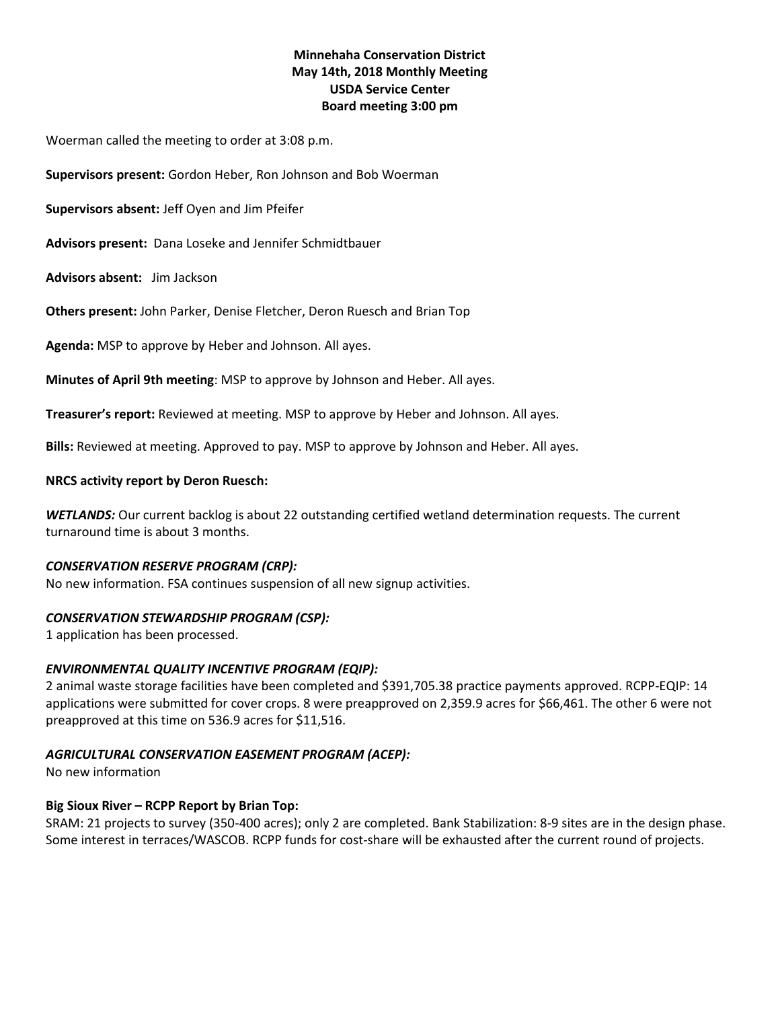# **Minnehaha Conservation District May 14th, 2018 Monthly Meeting USDA Service Center Board meeting 3:00 pm**

Woerman called the meeting to order at 3:08 p.m.

**Supervisors present:** Gordon Heber, Ron Johnson and Bob Woerman

**Supervisors absent:** Jeff Oyen and Jim Pfeifer

**Advisors present:** Dana Loseke and Jennifer Schmidtbauer

**Advisors absent:** Jim Jackson

**Others present:** John Parker, Denise Fletcher, Deron Ruesch and Brian Top

**Agenda:** MSP to approve by Heber and Johnson. All ayes.

**Minutes of April 9th meeting**: MSP to approve by Johnson and Heber. All ayes.

**Treasurer's report:** Reviewed at meeting. MSP to approve by Heber and Johnson. All ayes.

**Bills:** Reviewed at meeting. Approved to pay. MSP to approve by Johnson and Heber. All ayes.

# **NRCS activity report by Deron Ruesch:**

*WETLANDS:* Our current backlog is about 22 outstanding certified wetland determination requests. The current turnaround time is about 3 months.

#### *CONSERVATION RESERVE PROGRAM (CRP):*

No new information. FSA continues suspension of all new signup activities.

# *CONSERVATION STEWARDSHIP PROGRAM (CSP):*

1 application has been processed.

#### *ENVIRONMENTAL QUALITY INCENTIVE PROGRAM (EQIP):*

2 animal waste storage facilities have been completed and \$391,705.38 practice payments approved. RCPP-EQIP: 14 applications were submitted for cover crops. 8 were preapproved on 2,359.9 acres for \$66,461. The other 6 were not preapproved at this time on 536.9 acres for \$11,516.

# *AGRICULTURAL CONSERVATION EASEMENT PROGRAM (ACEP):*

No new information

# **Big Sioux River – RCPP Report by Brian Top:**

SRAM: 21 projects to survey (350-400 acres); only 2 are completed. Bank Stabilization: 8-9 sites are in the design phase. Some interest in terraces/WASCOB. RCPP funds for cost-share will be exhausted after the current round of projects.